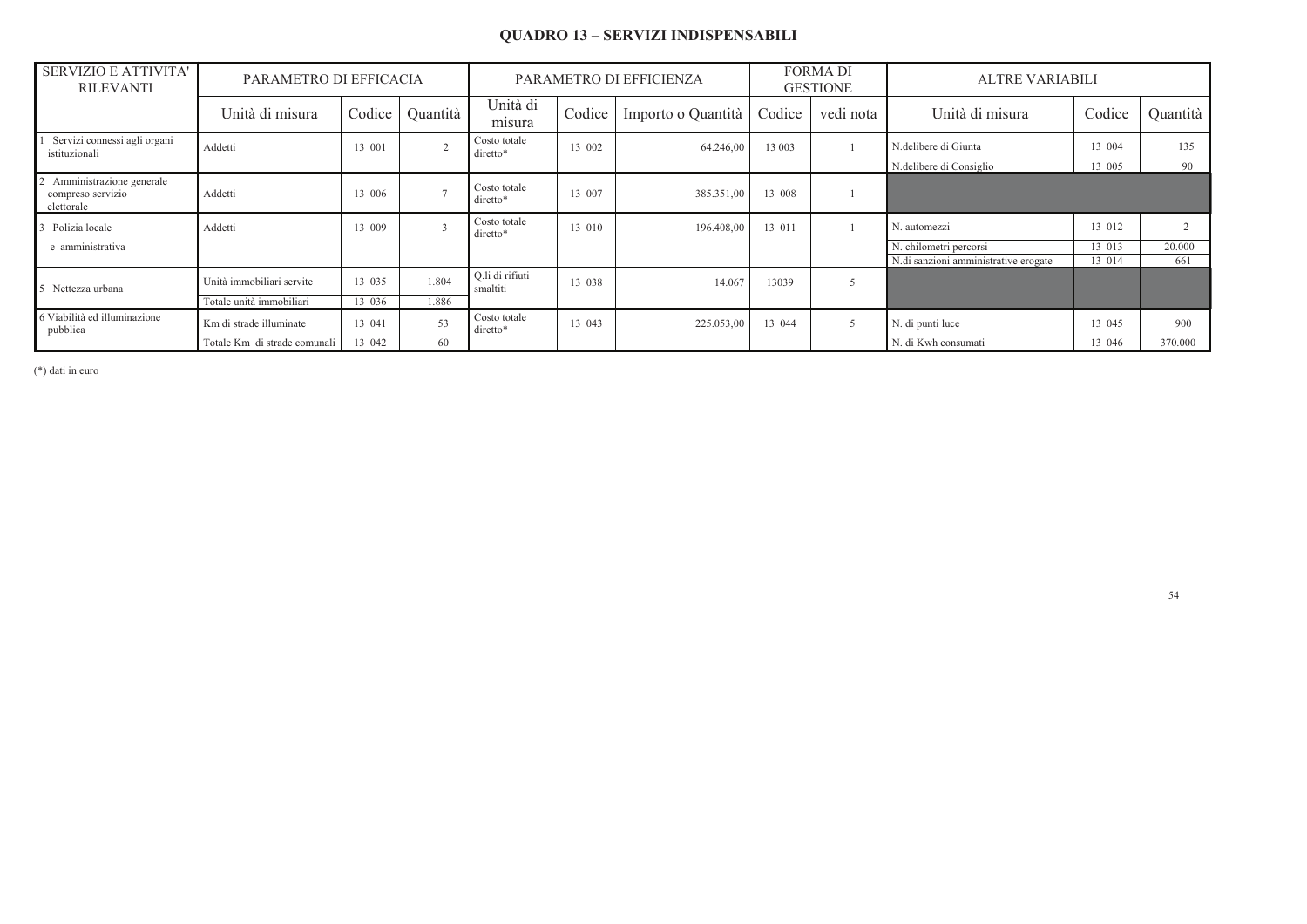## **QUADRO 13 - SERVIZI INDISPENSABILI**

| <b>SERVIZIO E ATTIVITA'</b><br><b>RILEVANTI</b>             | PARAMETRO DI EFFICACIA       |        |                         | PARAMETRO DI EFFICIENZA     | <b>FORMA DI</b><br><b>GESTIONE</b> |                    | <b>ALTRE VARIABILI</b> |                |                                      |        |          |
|-------------------------------------------------------------|------------------------------|--------|-------------------------|-----------------------------|------------------------------------|--------------------|------------------------|----------------|--------------------------------------|--------|----------|
|                                                             | Unità di misura              | Codice | Quantità                | Unità di<br>misura          | Codice                             | Importo o Quantità | Codice                 | vedi nota      | Unità di misura                      | Codice | Quantità |
| Servizi connessi agli organi<br>istituzionali               | Addetti                      | 13 001 |                         | Costo totale<br>diretto*    | 13 002                             | 64.246,00          | 13 003                 |                | N.delibere di Giunta                 | 13 004 | 135      |
|                                                             |                              |        |                         |                             |                                    |                    |                        |                | N.delibere di Consiglio              | 13 005 | 90       |
| Amministrazione generale<br>compreso servizio<br>elettorale | Addetti                      | 13 006 | $\overline{ }$          | Costo totale<br>diretto*    | 13 007                             | 385.351,00         | 13 008                 |                |                                      |        |          |
| Polizia locale                                              | Addetti                      | 13 009 | $\overline{\mathbf{3}}$ | Costo totale<br>diretto*    | 13 010                             | 196.408,00         | 13 011                 |                | N. automezzi                         | 13 012 |          |
| e amministrativa                                            |                              |        |                         |                             |                                    |                    |                        |                | N. chilometri percorsi               | 13 013 | 20.000   |
|                                                             |                              |        |                         |                             |                                    |                    |                        |                | N.di sanzioni amministrative erogate | 13 014 | 661      |
| Nettezza urbana                                             | Unità immobiliari servite    | 13 035 | 1.804                   | O.li di rifiuti<br>smaltiti | 13 038                             | 14.067             | 13039                  | $\overline{5}$ |                                      |        |          |
|                                                             | Totale unità immobiliari     | 13 036 | 1.886                   |                             |                                    |                    |                        |                |                                      |        |          |
| 6 Viabilità ed illuminazione<br>pubblica                    | Km di strade illuminate      | 13 041 | 53                      | Costo totale<br>diretto*    | 13 043                             | 225.053,00         | 13 044                 | 5              | N. di punti luce                     | 13 045 | 900      |
|                                                             | Totale Km di strade comunali | 13 042 | 60                      |                             |                                    |                    |                        |                | N. di Kwh consumati                  | 13 046 | 370.000  |

 $(*)$  dati in euro